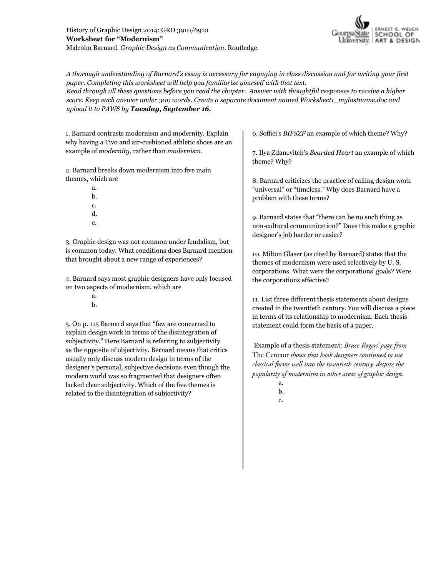

*A thorough understanding of Barnard's essay is necessary for engaging in class discussion and for writing your first paper. Completing this worksheet will help you familiarize yourself with that text.*

*Read through all these questions before you read the chapter. Answer with thoughtful responses to receive a higher score. Keep each answer under 300 words. Create a separate document named Worksheet1\_mylastname.doc and upload it to PAWS by Tuesday, September 16.*

1. Barnard contrasts modernism and modernity. Explain why having a Tivo and air-cushioned athletic shoes are an example of *modernity*, rather than *modernism*.

2. Barnard breaks down modernism into five main themes, which are

- a. b. c. d.
- e.

3. Graphic design was not common under feudalism, but is common today. What conditions does Barnard mention that brought about a new range of experiences?

4. Barnard says most graphic designers have only focused on two aspects of modernism, which are

> a. b.

5. On p. 115 Barnard says that "few are concerned to explain design work in terms of the disintegration of subjectivity." Here Barnard is referring to subjectivity as the opposite of objectivity. Bernard means that critics usually only discuss modern design in terms of the designer's personal, subjective decisions even though the modern world was so fragmented that designers often lacked clear subjectivity. Which of the five themes is related to the disintegration of subjectivity?

6. Soffici's *BIFSZF* an example of which theme? Why?

7. Ilya Zdanevitch's *Bearded Heart* an example of which theme? Why?

8. Barnard criticizes the practice of calling design work "universal" or "timeless." Why does Barnard have a problem with these terms?

9. Barnard states that "there can be no such thing as non-cultural communication?" Does this make a graphic designer's job harder or easier?

10. Milton Glaser (as cited by Barnard) states that the themes of modernism were used selectively by U. S. corporations. What were the corporations' goals? Were the corporations effective?

11. List three different thesis statements about designs created in the twentieth century. You will discuss a piece in terms of its relationship to modernism. Each thesis statement could form the basis of a paper.

 Example of a thesis statement: *Bruce Rogers' page from*  The Centaur *shows that book designers continued to use classical forms well into the twentieth century, despite the popularity of modernism in other areas of graphic design.*

c.

a. b.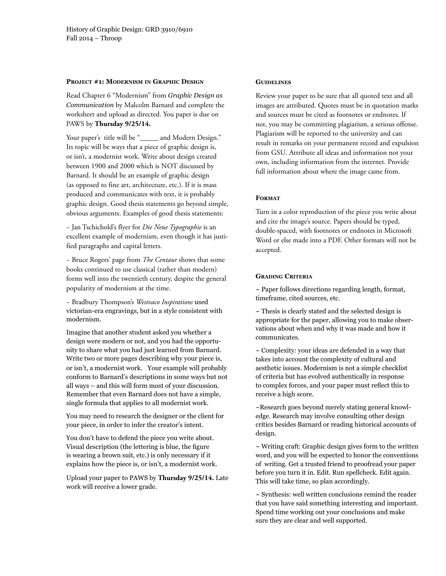#### **Project #1: Modernism in Graphic Design**

Read Chapter 6 "Modernism" from *Graphic Design as Communication* by Malcolm Barnard and complete the worksheet and upload as directed. You paper is due on PAWS by **Thursday 9/25/14.**

Your paper's title will be "\_\_\_\_\_ and Modern Design." Its topic will be ways that a piece of graphic design is, or isn't, a modernist work. Write about design created between 1900 and 2000 which is NOT discussed by Barnard. It should be an example of graphic design (as opposed to fine art, architecture, etc.). If it is mass produced and communicates with text, it is probably graphic design. Good thesis statements go beyond simple, obvious arguments. Examples of good thesis statements:

~ Jan Tschichold's flyer for *Die Neue Typographie* is an excellent example of modernism, even though it has justified paragraphs and capital letters.

~ Bruce Rogers' page from *The Centaur* shows that some books continued to use classical (rather than modern) forms well into the twentieth century, despite the general popularity of modernism at the time.

~ Bradbury Thompson's *Westvaco Inspirations* used victorian-era engravings, but in a style consistent with modernism.

Imagine that another student asked you whether a design were modern or not, and you had the opportunity to share what you had just learned from Barnard. Write two or more pages describing why your piece is, or isn't, a modernist work. Your example will probably conform to Barnard's descriptions in some ways but not all ways – and this will form most of your discussion. Remember that even Barnard does not have a simple, single formula that applies to all modernist work.

You may need to research the designer or the client for your piece, in order to infer the creator's intent.

You don't have to defend the piece you write about. Visual description (the lettering is blue, the figure is wearing a brown suit, etc.) is only necessary if it explains how the piece is, or isn't, a modernist work.

Upload your paper to PAWS by **Thursday 9/25/14.** Late work will receive a lower grade.

### **Guidelines**

Review your paper to be sure that all quoted text and all images are attributed. Quotes must be in quotation marks and sources must be cited as footnotes or endnotes. If not, you may be committing plagiarism, a serious offense. Plagiarism will be reported to the university and can result in remarks on your permanent record and expulsion from GSU. Attribute all ideas and information not your own, including information from the internet. Provide full information about where the image came from.

## **Format**

Turn in a color reproduction of the piece you write about and cite the image's source. Papers should be typed, double-spaced, with footnotes or endnotes in Microsoft Word or else made into a PDF. Other formats will not be accepted.

## **Grading Criteria**

 $\sim$  Paper follows directions regarding length, format, timeframe, cited sources, etc.

~ Thesis is clearly stated and the selected design is appropriate for the paper, allowing you to make observations about when and why it was made and how it communicates.

 $\sim$  Complexity: your ideas are defended in a way that takes into account the complexity of cultural and aesthetic issues. Modernism is not a simple checklist of criteria but has evolved authentically in response to complex forces, and your paper must reflect this to receive a high score.

~Research goes beyond merely stating general knowledge. Research may involve consulting other design critics besides Barnard or reading historical accounts of design.

 $\sim$  Writing craft: Graphic design gives form to the written word, and you will be expected to honor the conventions of writing. Get a trusted friend to proofread your paper before you turn it in. Edit. Run spellcheck. Edit again. This will take time, so plan accordingly.

 $\sim$  Synthesis: well written conclusions remind the reader that you have said something interesting and important. Spend time working out your conclusions and make sure they are clear and well supported.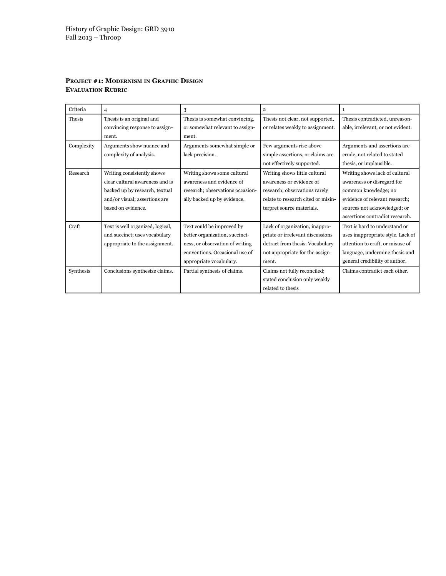| Criteria   | 4                                | 3                                | $\overline{2}$                     | 1                                 |
|------------|----------------------------------|----------------------------------|------------------------------------|-----------------------------------|
| Thesis     | Thesis is an original and        | Thesis is somewhat convincing,   | Thesis not clear, not supported,   | Thesis contradicted, unreason-    |
|            | convincing response to assign-   | or somewhat relevant to assign-  | or relates weakly to assignment.   | able, irrelevant, or not evident. |
|            | ment.                            | ment.                            |                                    |                                   |
| Complexity | Arguments show nuance and        | Arguments somewhat simple or     | Few arguments rise above           | Arguments and assertions are      |
|            | complexity of analysis.          | lack precision.                  | simple assertions, or claims are   | crude, not related to stated      |
|            |                                  |                                  | not effectively supported.         | thesis, or implausible.           |
| Research   | Writing consistently shows       | Writing shows some cultural      | Writing shows little cultural      | Writing shows lack of cultural    |
|            | clear cultural awareness and is  | awareness and evidence of        | awareness or evidence of           | awareness or disregard for        |
|            | backed up by research, textual   | research; observations occasion- | research; observations rarely      | common knowledge; no              |
|            | and/or visual; assertions are    | ally backed up by evidence.      | relate to research cited or misin- | evidence of relevant research;    |
|            | based on evidence.               |                                  | terpret source materials.          | sources not acknowledged; or      |
|            |                                  |                                  |                                    | assertions contradict research.   |
| Craft      | Text is well organized, logical, | Text could be improved by        | Lack of organization, inappro-     | Text is hard to understand or     |
|            | and succinct; uses vocabulary    | better organization, succinct-   | priate or irrelevant discussions   | uses inappropriate style. Lack of |
|            | appropriate to the assignment.   | ness, or observation of writing  | detract from thesis. Vocabulary    | attention to craft, or misuse of  |
|            |                                  | conventions. Occasional use of   | not appropriate for the assign-    | language, undermine thesis and    |
|            |                                  | appropriate vocabulary.          | ment.                              | general credibility of author.    |
| Synthesis  | Conclusions synthesize claims.   | Partial synthesis of claims.     | Claims not fully reconciled;       | Claims contradict each other.     |
|            |                                  |                                  | stated conclusion only weakly      |                                   |
|            |                                  |                                  | related to thesis                  |                                   |

# **Project #1: Modernism in Graphic Design Evaluation Rubric**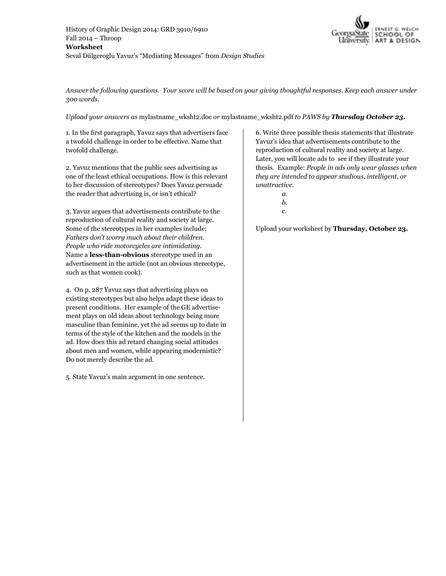

*Answer the following questions. Your score will be based on your giving thoughtful responses. Keep each answer under 300 words.* 

*Upload your answers as* mylastname\_wksht2.doc *or* mylastname\_wksht2.pdf *to PAWS by Thursday October 23.* 

1. In the first paragraph, Yavuz says that advertisers face a twofold challenge in order to be effective. Name that twofold challenge.

2. Yavuz mentions that the public sees advertising as one of the least ethical occupations. How is this relevant to her discussion of stereotypes? Does Yavuz persuade the reader that advertising is, or isn't ethical?

3. Yavuz argues that advertisements contribute to the reproduction of cultural reality and society at large. Some of the stereotypes in her examples include: *Fathers don't worry much about their children. People who ride motorcycles are intimidating.* Name a **less-than-obvious** stereotype used in an advertisement in the article (not an obvious stereotype, such as that women cook).

4. On p. 287 Yavuz says that advertising plays on existing stereotypes but also helps adapt these ideas to present conditions. Her example of the GE advertisement plays on old ideas about technology being more masculine than feminine, yet the ad seems up to date in terms of the style of the kitchen and the models in the ad. How does this ad retard changing social attitudes about men and women, while appearing modernistic? Do not merely describe the ad.

5. State Yavuz's main argument in one sentence.

6. Write three possible thesis statements that illustrate Yavuz's idea that advertisements contribute to the reproduction of cultural reality and society at large. Later, you will locate ads to see if they illustrate your thesis. Example: *People in ads only wear glasses when they are intended to appear studious, intelligent, or unattractive.*

- *a.*
- *b.*
- *c.*

Upload your worksheet by **Thursday, October 23.**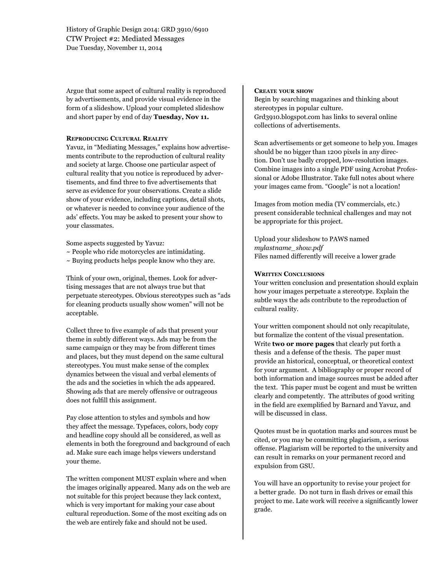History of Graphic Design 2014: GRD 3910/6910 CTW Project #2: Mediated Messages Due Tuesday, November 11, 2014

Argue that some aspect of cultural reality is reproduced by advertisements, and provide visual evidence in the form of a slideshow. Upload your completed slideshow and short paper by end of day **Tuesday, Nov 11.**

### **Reproducing Cultural Reality**

Yavuz, in "Mediating Messages," explains how advertisements contribute to the reproduction of cultural reality and society at large. Choose one particular aspect of cultural reality that you notice is reproduced by advertisements, and find three to five advertisements that serve as evidence for your observations. Create a slide show of your evidence, including captions, detail shots, or whatever is needed to convince your audience of the ads' effects. You may be asked to present your show to your classmates.

Some aspects suggested by Yavuz:

- ~ People who ride motorcycles are intimidating.
- $\sim$  Buying products helps people know who they are.

Think of your own, original, themes. Look for advertising messages that are not always true but that perpetuate stereotypes. Obvious stereotypes such as "ads for cleaning products usually show women" will not be acceptable.

Collect three to five example of ads that present your theme in subtly different ways. Ads may be from the same campaign or they may be from different times and places, but they must depend on the same cultural stereotypes. You must make sense of the complex dynamics between the visual and verbal elements of the ads and the societies in which the ads appeared. Showing ads that are merely offensive or outrageous does not fulfill this assignment.

Pay close attention to styles and symbols and how they affect the message. Typefaces, colors, body copy and headline copy should all be considered, as well as elements in both the foreground and background of each ad. Make sure each image helps viewers understand your theme.

The written component MUST explain where and when the images originally appeared. Many ads on the web are not suitable for this project because they lack context, which is very important for making your case about cultural reproduction. Some of the most exciting ads on the web are entirely fake and should not be used.

#### **Create your show**

Begin by searching magazines and thinking about stereotypes in popular culture. Grd3910.blogspot.com has links to several online collections of advertisements.

Scan advertisements or get someone to help you. Images should be no bigger than 1200 pixels in any direction. Don't use badly cropped, low-resolution images. Combine images into a single PDF using Acrobat Professional or Adobe Illustrator. Take full notes about where your images came from. "Google" is not a location!

Images from motion media (TV commercials, etc.) present considerable technical challenges and may not be appropriate for this project.

Upload your slideshow to PAWS named *mylastname\_show.pdf*  Files named differently will receive a lower grade

## **Written Conclusions**

Your written conclusion and presentation should explain how your images perpetuate a stereotype. Explain the subtle ways the ads contribute to the reproduction of cultural reality.

Your written component should not only recapitulate, but formalize the content of the visual presentation. Write **two or more pages** that clearly put forth a thesis and a defense of the thesis. The paper must provide an historical, conceptual, or theoretical context for your argument. A bibliography or proper record of both information and image sources must be added after the text. This paper must be cogent and must be written clearly and competently. The attributes of good writing in the field are exemplified by Barnard and Yavuz, and will be discussed in class.

Quotes must be in quotation marks and sources must be cited, or you may be committing plagiarism, a serious offense. Plagiarism will be reported to the university and can result in remarks on your permanent record and expulsion from GSU.

You will have an opportunity to revise your project for a better grade. Do not turn in flash drives or email this project to me. Late work will receive a significantly lower grade.